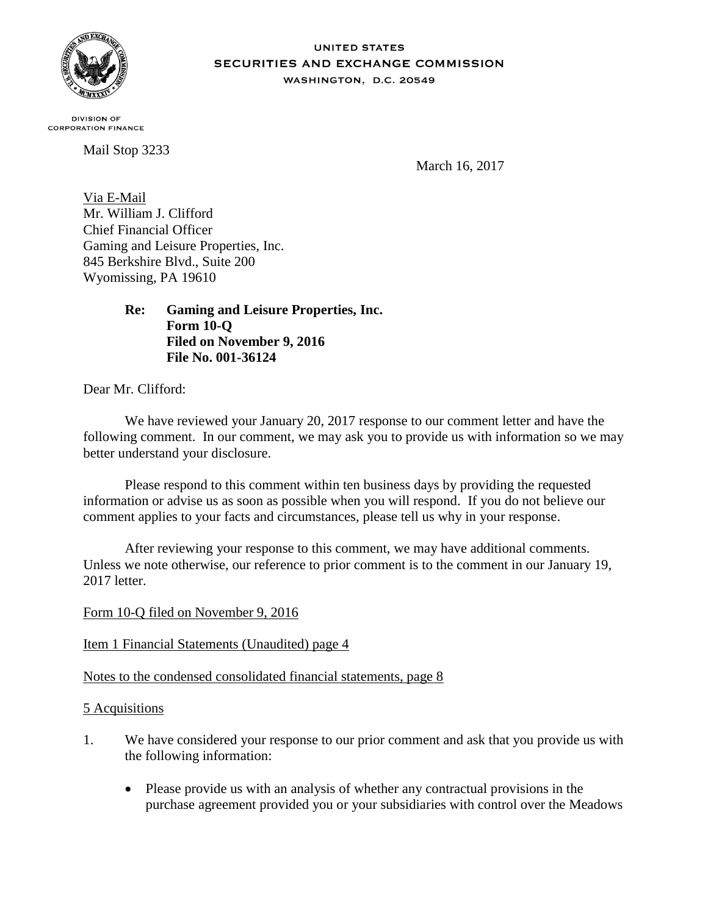

## **UNITED STATES SECURITIES AND EXCHANGE COMMISSION** WASHINGTON, D.C. 20549

**DIVISION OF CORPORATION FINANCE** 

Mail Stop 3233

March 16, 2017

Via E-Mail Mr. William J. Clifford Chief Financial Officer Gaming and Leisure Properties, Inc. 845 Berkshire Blvd., Suite 200 Wyomissing, PA 19610

> **Re: Gaming and Leisure Properties, Inc. Form 10-Q Filed on November 9, 2016 File No. 001-36124**

Dear Mr. Clifford:

We have reviewed your January 20, 2017 response to our comment letter and have the following comment. In our comment, we may ask you to provide us with information so we may better understand your disclosure.

Please respond to this comment within ten business days by providing the requested information or advise us as soon as possible when you will respond. If you do not believe our comment applies to your facts and circumstances, please tell us why in your response.

After reviewing your response to this comment, we may have additional comments. Unless we note otherwise, our reference to prior comment is to the comment in our January 19, 2017 letter.

Form 10-Q filed on November 9, 2016

## Item 1 Financial Statements (Unaudited) page 4

## Notes to the condensed consolidated financial statements, page 8

## 5 Acquisitions

- 1. We have considered your response to our prior comment and ask that you provide us with the following information:
	- Please provide us with an analysis of whether any contractual provisions in the purchase agreement provided you or your subsidiaries with control over the Meadows